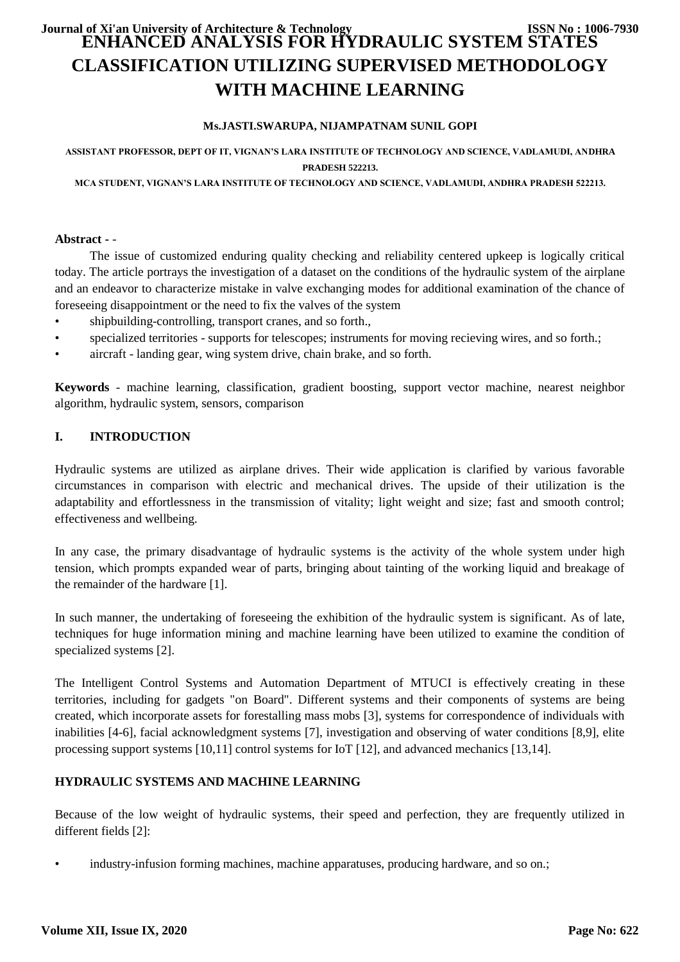# **ENHANCED ANALYSIS FOR HYDRAULIC SYSTEM STATES CLASSIFICATION UTILIZING SUPERVISED METHODOLOGY WITH MACHINE LEARNING Journal of Xi'an University of Architecture & Technology ISSN No : 1006-7930**

## **Ms.JASTI.SWARUPA, NIJAMPATNAM SUNIL GOPI**

## **ASSISTANT PROFESSOR, DEPT OF IT, VIGNAN'S LARA INSTITUTE OF TECHNOLOGY AND SCIENCE, VADLAMUDI, ANDHRA PRADESH 522213.**

**MCA STUDENT, VIGNAN'S LARA INSTITUTE OF TECHNOLOGY AND SCIENCE, VADLAMUDI, ANDHRA PRADESH 522213.**

#### **Abstract -** -

The issue of customized enduring quality checking and reliability centered upkeep is logically critical today. The article portrays the investigation of a dataset on the conditions of the hydraulic system of the airplane and an endeavor to characterize mistake in valve exchanging modes for additional examination of the chance of foreseeing disappointment or the need to fix the valves of the system

- shipbuilding-controlling, transport cranes, and so forth.,
- specialized territories supports for telescopes; instruments for moving recieving wires, and so forth.;
- aircraft landing gear, wing system drive, chain brake, and so forth.

**Keywords** - machine learning, classification, gradient boosting, support vector machine, nearest neighbor algorithm, hydraulic system, sensors, comparison

## **I. INTRODUCTION**

Hydraulic systems are utilized as airplane drives. Their wide application is clarified by various favorable circumstances in comparison with electric and mechanical drives. The upside of their utilization is the adaptability and effortlessness in the transmission of vitality; light weight and size; fast and smooth control; effectiveness and wellbeing.

In any case, the primary disadvantage of hydraulic systems is the activity of the whole system under high tension, which prompts expanded wear of parts, bringing about tainting of the working liquid and breakage of the remainder of the hardware [1].

In such manner, the undertaking of foreseeing the exhibition of the hydraulic system is significant. As of late, techniques for huge information mining and machine learning have been utilized to examine the condition of specialized systems [2].

The Intelligent Control Systems and Automation Department of MTUCI is effectively creating in these territories, including for gadgets "on Board". Different systems and their components of systems are being created, which incorporate assets for forestalling mass mobs [3], systems for correspondence of individuals with inabilities [4-6], facial acknowledgment systems [7], investigation and observing of water conditions [8,9], elite processing support systems [10,11] control systems for IoT [12], and advanced mechanics [13,14].

## **HYDRAULIC SYSTEMS AND MACHINE LEARNING**

Because of the low weight of hydraulic systems, their speed and perfection, they are frequently utilized in different fields [2]:

• industry-infusion forming machines, machine apparatuses, producing hardware, and so on.;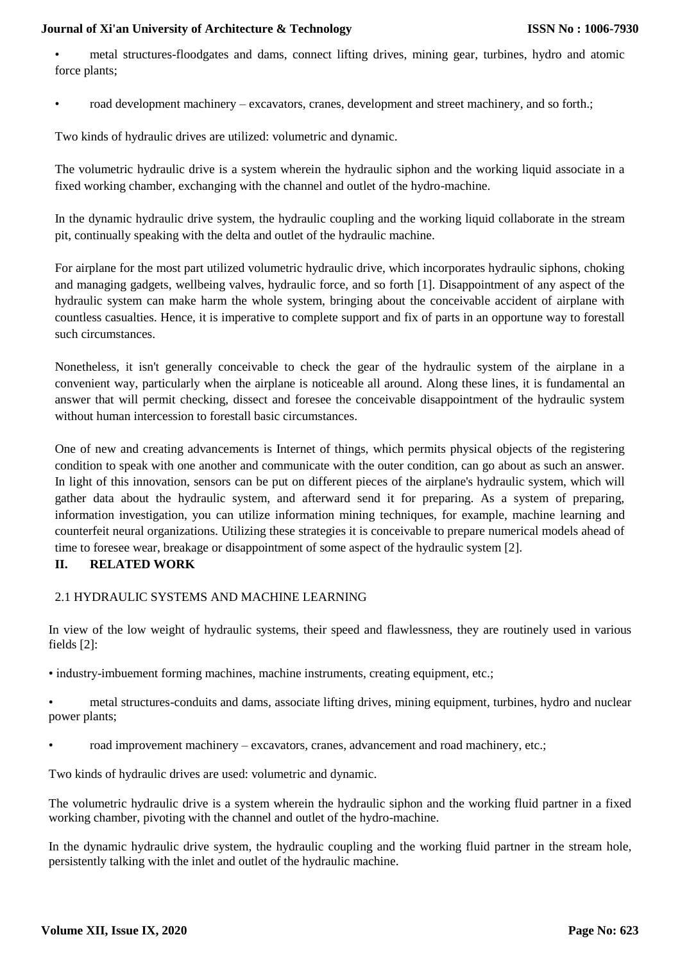• metal structures-floodgates and dams, connect lifting drives, mining gear, turbines, hydro and atomic force plants;

• road development machinery – excavators, cranes, development and street machinery, and so forth.;

Two kinds of hydraulic drives are utilized: volumetric and dynamic.

The volumetric hydraulic drive is a system wherein the hydraulic siphon and the working liquid associate in a fixed working chamber, exchanging with the channel and outlet of the hydro-machine.

In the dynamic hydraulic drive system, the hydraulic coupling and the working liquid collaborate in the stream pit, continually speaking with the delta and outlet of the hydraulic machine.

For airplane for the most part utilized volumetric hydraulic drive, which incorporates hydraulic siphons, choking and managing gadgets, wellbeing valves, hydraulic force, and so forth [1]. Disappointment of any aspect of the hydraulic system can make harm the whole system, bringing about the conceivable accident of airplane with countless casualties. Hence, it is imperative to complete support and fix of parts in an opportune way to forestall such circumstances.

Nonetheless, it isn't generally conceivable to check the gear of the hydraulic system of the airplane in a convenient way, particularly when the airplane is noticeable all around. Along these lines, it is fundamental an answer that will permit checking, dissect and foresee the conceivable disappointment of the hydraulic system without human intercession to forestall basic circumstances.

One of new and creating advancements is Internet of things, which permits physical objects of the registering condition to speak with one another and communicate with the outer condition, can go about as such an answer. In light of this innovation, sensors can be put on different pieces of the airplane's hydraulic system, which will gather data about the hydraulic system, and afterward send it for preparing. As a system of preparing, information investigation, you can utilize information mining techniques, for example, machine learning and counterfeit neural organizations. Utilizing these strategies it is conceivable to prepare numerical models ahead of time to foresee wear, breakage or disappointment of some aspect of the hydraulic system [2].

## **II. RELATED WORK**

## 2.1 HYDRAULIC SYSTEMS AND MACHINE LEARNING

In view of the low weight of hydraulic systems, their speed and flawlessness, they are routinely used in various fields [2]:

• industry-imbuement forming machines, machine instruments, creating equipment, etc.;

• metal structures-conduits and dams, associate lifting drives, mining equipment, turbines, hydro and nuclear power plants;

• road improvement machinery – excavators, cranes, advancement and road machinery, etc.;

Two kinds of hydraulic drives are used: volumetric and dynamic.

The volumetric hydraulic drive is a system wherein the hydraulic siphon and the working fluid partner in a fixed working chamber, pivoting with the channel and outlet of the hydro-machine.

In the dynamic hydraulic drive system, the hydraulic coupling and the working fluid partner in the stream hole, persistently talking with the inlet and outlet of the hydraulic machine.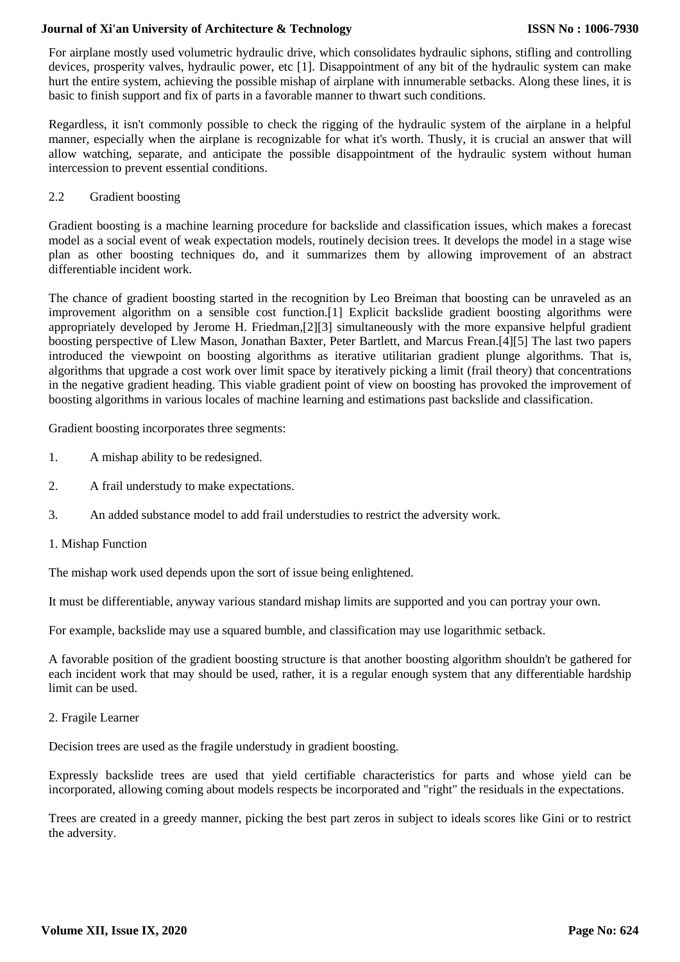For airplane mostly used volumetric hydraulic drive, which consolidates hydraulic siphons, stifling and controlling devices, prosperity valves, hydraulic power, etc [1]. Disappointment of any bit of the hydraulic system can make hurt the entire system, achieving the possible mishap of airplane with innumerable setbacks. Along these lines, it is basic to finish support and fix of parts in a favorable manner to thwart such conditions.

Regardless, it isn't commonly possible to check the rigging of the hydraulic system of the airplane in a helpful manner, especially when the airplane is recognizable for what it's worth. Thusly, it is crucial an answer that will allow watching, separate, and anticipate the possible disappointment of the hydraulic system without human intercession to prevent essential conditions.

2.2 Gradient boosting

Gradient boosting is a machine learning procedure for backslide and classification issues, which makes a forecast model as a social event of weak expectation models, routinely decision trees. It develops the model in a stage wise plan as other boosting techniques do, and it summarizes them by allowing improvement of an abstract differentiable incident work.

The chance of gradient boosting started in the recognition by Leo Breiman that boosting can be unraveled as an improvement algorithm on a sensible cost function.[1] Explicit backslide gradient boosting algorithms were appropriately developed by Jerome H. Friedman,[2][3] simultaneously with the more expansive helpful gradient boosting perspective of Llew Mason, Jonathan Baxter, Peter Bartlett, and Marcus Frean.[4][5] The last two papers introduced the viewpoint on boosting algorithms as iterative utilitarian gradient plunge algorithms. That is, algorithms that upgrade a cost work over limit space by iteratively picking a limit (frail theory) that concentrations in the negative gradient heading. This viable gradient point of view on boosting has provoked the improvement of boosting algorithms in various locales of machine learning and estimations past backslide and classification.

Gradient boosting incorporates three segments:

- 1. A mishap ability to be redesigned.
- 2. A frail understudy to make expectations.
- 3. An added substance model to add frail understudies to restrict the adversity work.
- 1. Mishap Function

The mishap work used depends upon the sort of issue being enlightened.

It must be differentiable, anyway various standard mishap limits are supported and you can portray your own.

For example, backslide may use a squared bumble, and classification may use logarithmic setback.

A favorable position of the gradient boosting structure is that another boosting algorithm shouldn't be gathered for each incident work that may should be used, rather, it is a regular enough system that any differentiable hardship limit can be used.

2. Fragile Learner

Decision trees are used as the fragile understudy in gradient boosting.

Expressly backslide trees are used that yield certifiable characteristics for parts and whose yield can be incorporated, allowing coming about models respects be incorporated and "right" the residuals in the expectations.

Trees are created in a greedy manner, picking the best part zeros in subject to ideals scores like Gini or to restrict the adversity.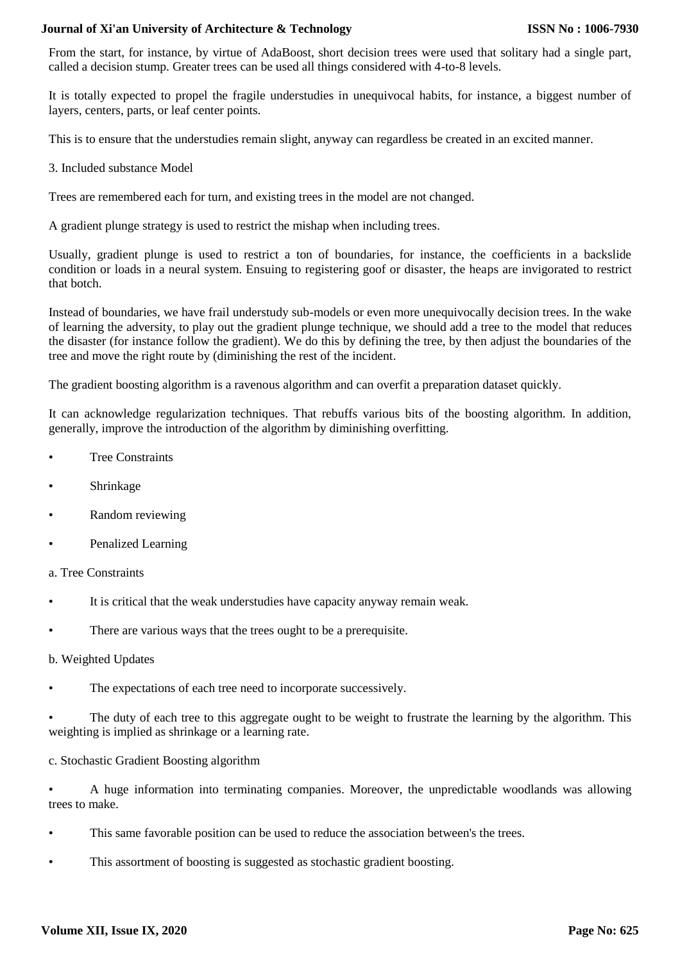From the start, for instance, by virtue of AdaBoost, short decision trees were used that solitary had a single part, called a decision stump. Greater trees can be used all things considered with 4-to-8 levels.

It is totally expected to propel the fragile understudies in unequivocal habits, for instance, a biggest number of layers, centers, parts, or leaf center points.

This is to ensure that the understudies remain slight, anyway can regardless be created in an excited manner.

3. Included substance Model

Trees are remembered each for turn, and existing trees in the model are not changed.

A gradient plunge strategy is used to restrict the mishap when including trees.

Usually, gradient plunge is used to restrict a ton of boundaries, for instance, the coefficients in a backslide condition or loads in a neural system. Ensuing to registering goof or disaster, the heaps are invigorated to restrict that botch.

Instead of boundaries, we have frail understudy sub-models or even more unequivocally decision trees. In the wake of learning the adversity, to play out the gradient plunge technique, we should add a tree to the model that reduces the disaster (for instance follow the gradient). We do this by defining the tree, by then adjust the boundaries of the tree and move the right route by (diminishing the rest of the incident.

The gradient boosting algorithm is a ravenous algorithm and can overfit a preparation dataset quickly.

It can acknowledge regularization techniques. That rebuffs various bits of the boosting algorithm. In addition, generally, improve the introduction of the algorithm by diminishing overfitting.

- Tree Constraints
- **Shrinkage**
- Random reviewing
- Penalized Learning
- a. Tree Constraints
- It is critical that the weak understudies have capacity anyway remain weak.
- There are various ways that the trees ought to be a prerequisite.

#### b. Weighted Updates

The expectations of each tree need to incorporate successively.

The duty of each tree to this aggregate ought to be weight to frustrate the learning by the algorithm. This weighting is implied as shrinkage or a learning rate.

#### c. Stochastic Gradient Boosting algorithm

• A huge information into terminating companies. Moreover, the unpredictable woodlands was allowing trees to make.

- This same favorable position can be used to reduce the association between's the trees.
- This assortment of boosting is suggested as stochastic gradient boosting.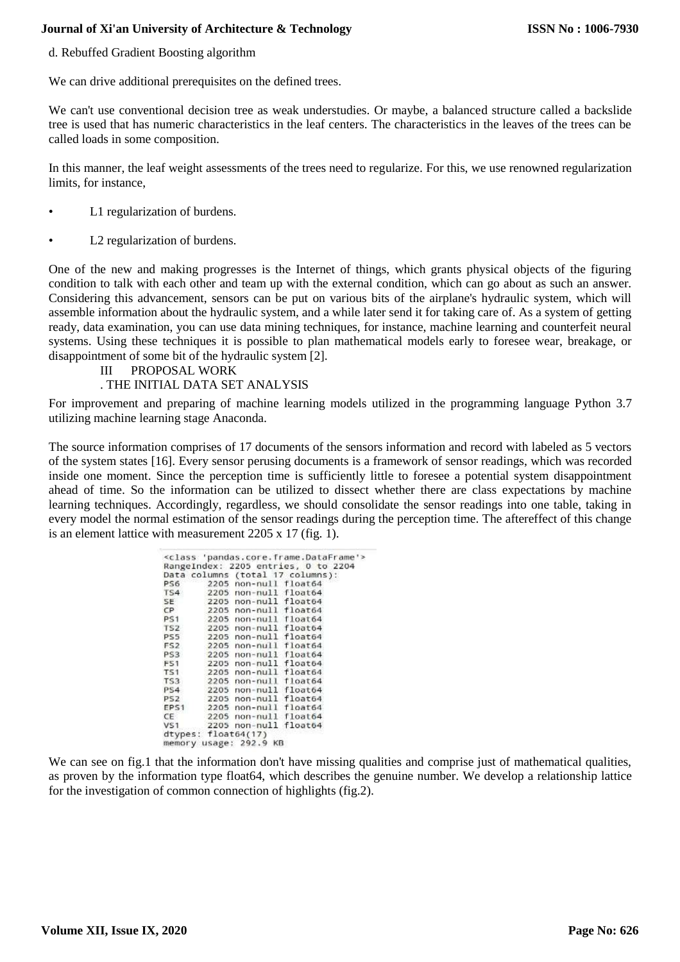d. Rebuffed Gradient Boosting algorithm

We can drive additional prerequisites on the defined trees.

We can't use conventional decision tree as weak understudies. Or maybe, a balanced structure called a backslide tree is used that has numeric characteristics in the leaf centers. The characteristics in the leaves of the trees can be called loads in some composition.

In this manner, the leaf weight assessments of the trees need to regularize. For this, we use renowned regularization limits, for instance,

- L1 regularization of burdens.
- L2 regularization of burdens.

One of the new and making progresses is the Internet of things, which grants physical objects of the figuring condition to talk with each other and team up with the external condition, which can go about as such an answer. Considering this advancement, sensors can be put on various bits of the airplane's hydraulic system, which will assemble information about the hydraulic system, and a while later send it for taking care of. As a system of getting ready, data examination, you can use data mining techniques, for instance, machine learning and counterfeit neural systems. Using these techniques it is possible to plan mathematical models early to foresee wear, breakage, or disappointment of some bit of the hydraulic system [2].

## III PROPOSAL WORK

## . THE INITIAL DATA SET ANALYSIS

For improvement and preparing of machine learning models utilized in the programming language Python 3.7 utilizing machine learning stage Anaconda.

The source information comprises of 17 documents of the sensors information and record with labeled as 5 vectors of the system states [16]. Every sensor perusing documents is a framework of sensor readings, which was recorded inside one moment. Since the perception time is sufficiently little to foresee a potential system disappointment ahead of time. So the information can be utilized to dissect whether there are class expectations by machine learning techniques. Accordingly, regardless, we should consolidate the sensor readings into one table, taking in every model the normal estimation of the sensor readings during the perception time. The aftereffect of this change is an element lattice with measurement 2205 x 17 (fig. 1).

| PS6 2205 non-null float64<br>TS4 2205 non-null float64<br>SE 2205 non-null float64<br>CP 2205 non-null float64<br>PS1 2205 non-null float64 | Data columns (total 17 columns):                                                                                                                                                                                                                                                                                                                  |
|---------------------------------------------------------------------------------------------------------------------------------------------|---------------------------------------------------------------------------------------------------------------------------------------------------------------------------------------------------------------------------------------------------------------------------------------------------------------------------------------------------|
|                                                                                                                                             |                                                                                                                                                                                                                                                                                                                                                   |
|                                                                                                                                             |                                                                                                                                                                                                                                                                                                                                                   |
|                                                                                                                                             |                                                                                                                                                                                                                                                                                                                                                   |
|                                                                                                                                             |                                                                                                                                                                                                                                                                                                                                                   |
|                                                                                                                                             |                                                                                                                                                                                                                                                                                                                                                   |
| TS2 2205 non-null float64                                                                                                                   |                                                                                                                                                                                                                                                                                                                                                   |
| PS5 2205 non-null float64                                                                                                                   |                                                                                                                                                                                                                                                                                                                                                   |
|                                                                                                                                             |                                                                                                                                                                                                                                                                                                                                                   |
|                                                                                                                                             |                                                                                                                                                                                                                                                                                                                                                   |
|                                                                                                                                             |                                                                                                                                                                                                                                                                                                                                                   |
|                                                                                                                                             |                                                                                                                                                                                                                                                                                                                                                   |
|                                                                                                                                             |                                                                                                                                                                                                                                                                                                                                                   |
|                                                                                                                                             |                                                                                                                                                                                                                                                                                                                                                   |
|                                                                                                                                             |                                                                                                                                                                                                                                                                                                                                                   |
|                                                                                                                                             |                                                                                                                                                                                                                                                                                                                                                   |
|                                                                                                                                             |                                                                                                                                                                                                                                                                                                                                                   |
|                                                                                                                                             |                                                                                                                                                                                                                                                                                                                                                   |
|                                                                                                                                             | FS2 2205 non-null float64<br>PS3 2205 non-null float64<br>F51 2205 non-null float64<br>TS1 2205 non-null float64<br>TS3 2205 non-null float64<br>PS4 2205 non-null float64<br>PS2 2205 non-null float64<br>EPS1 2205 non-null float64<br>$CE$ 2205 non-null float64<br>VS1 2205 non-null float64<br>dtypes: float64(17)<br>memory usage: 292.9 KB |

We can see on fig.1 that the information don't have missing qualities and comprise just of mathematical qualities, as proven by the information type float64, which describes the genuine number. We develop a relationship lattice for the investigation of common connection of highlights (fig.2).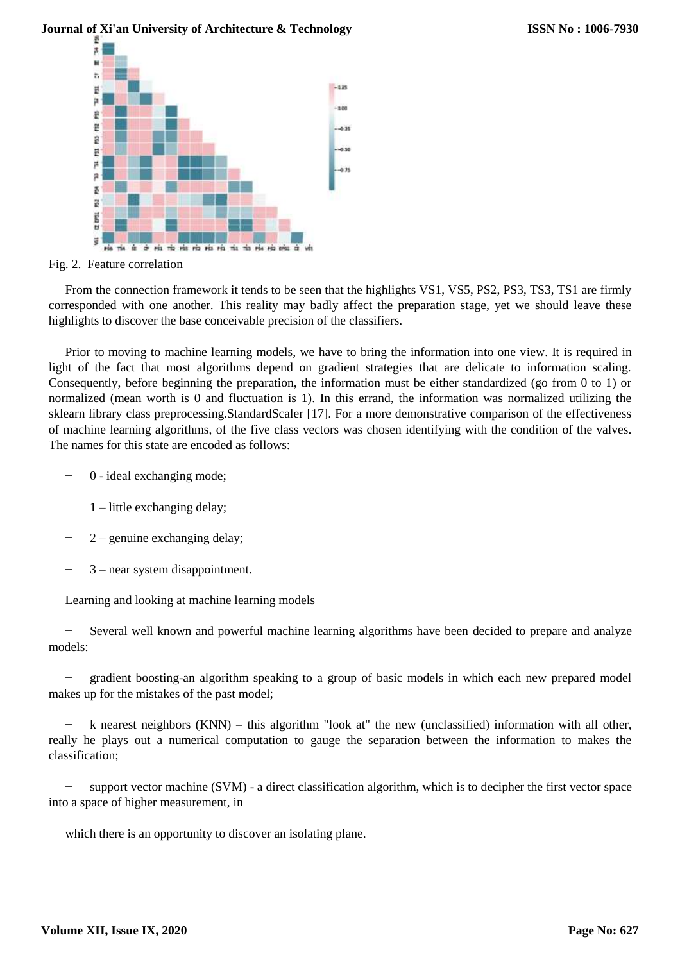

Fig. 2. Feature correlation

From the connection framework it tends to be seen that the highlights VS1, VS5, PS2, PS3, TS3, TS1 are firmly corresponded with one another. This reality may badly affect the preparation stage, yet we should leave these highlights to discover the base conceivable precision of the classifiers.

a u

 $4.2$ 

Prior to moving to machine learning models, we have to bring the information into one view. It is required in light of the fact that most algorithms depend on gradient strategies that are delicate to information scaling. Consequently, before beginning the preparation, the information must be either standardized (go from 0 to 1) or normalized (mean worth is 0 and fluctuation is 1). In this errand, the information was normalized utilizing the sklearn library class preprocessing.StandardScaler [17]. For a more demonstrative comparison of the effectiveness of machine learning algorithms, of the five class vectors was chosen identifying with the condition of the valves. The names for this state are encoded as follows:

- − 0 ideal exchanging mode;
- − 1 little exchanging delay;
- 2 genuine exchanging delay;
- − 3 near system disappointment.

Learning and looking at machine learning models

− Several well known and powerful machine learning algorithms have been decided to prepare and analyze models:

− gradient boosting-an algorithm speaking to a group of basic models in which each new prepared model makes up for the mistakes of the past model;

k nearest neighbors (KNN) – this algorithm "look at" the new (unclassified) information with all other, really he plays out a numerical computation to gauge the separation between the information to makes the classification;

support vector machine (SVM) - a direct classification algorithm, which is to decipher the first vector space into a space of higher measurement, in

which there is an opportunity to discover an isolating plane.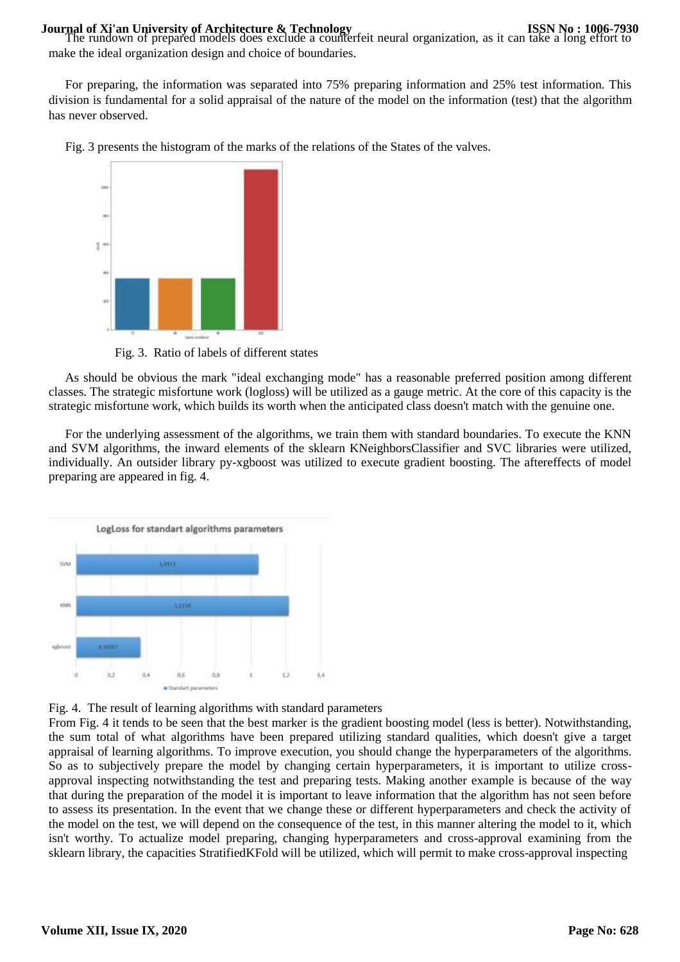**Journal of Xi'an University of Architecture & Technology<br>The rundown of prepared models does exclude a counterfeit neural organization, as it can take a long effort to** make the ideal organization design and choice of boundaries.

For preparing, the information was separated into 75% preparing information and 25% test information. This division is fundamental for a solid appraisal of the nature of the model on the information (test) that the algorithm has never observed.





Fig. 3. Ratio of labels of different states

As should be obvious the mark "ideal exchanging mode" has a reasonable preferred position among different classes. The strategic misfortune work (logloss) will be utilized as a gauge metric. At the core of this capacity is the strategic misfortune work, which builds its worth when the anticipated class doesn't match with the genuine one.

For the underlying assessment of the algorithms, we train them with standard boundaries. To execute the KNN and SVM algorithms, the inward elements of the sklearn KNeighborsClassifier and SVC libraries were utilized, individually. An outsider library py-xgboost was utilized to execute gradient boosting. The aftereffects of model preparing are appeared in fig. 4.





From Fig. 4 it tends to be seen that the best marker is the gradient boosting model (less is better). Notwithstanding, the sum total of what algorithms have been prepared utilizing standard qualities, which doesn't give a target appraisal of learning algorithms. To improve execution, you should change the hyperparameters of the algorithms. So as to subjectively prepare the model by changing certain hyperparameters, it is important to utilize crossapproval inspecting notwithstanding the test and preparing tests. Making another example is because of the way that during the preparation of the model it is important to leave information that the algorithm has not seen before to assess its presentation. In the event that we change these or different hyperparameters and check the activity of the model on the test, we will depend on the consequence of the test, in this manner altering the model to it, which isn't worthy. To actualize model preparing, changing hyperparameters and cross-approval examining from the sklearn library, the capacities StratifiedKFold will be utilized, which will permit to make cross-approval inspecting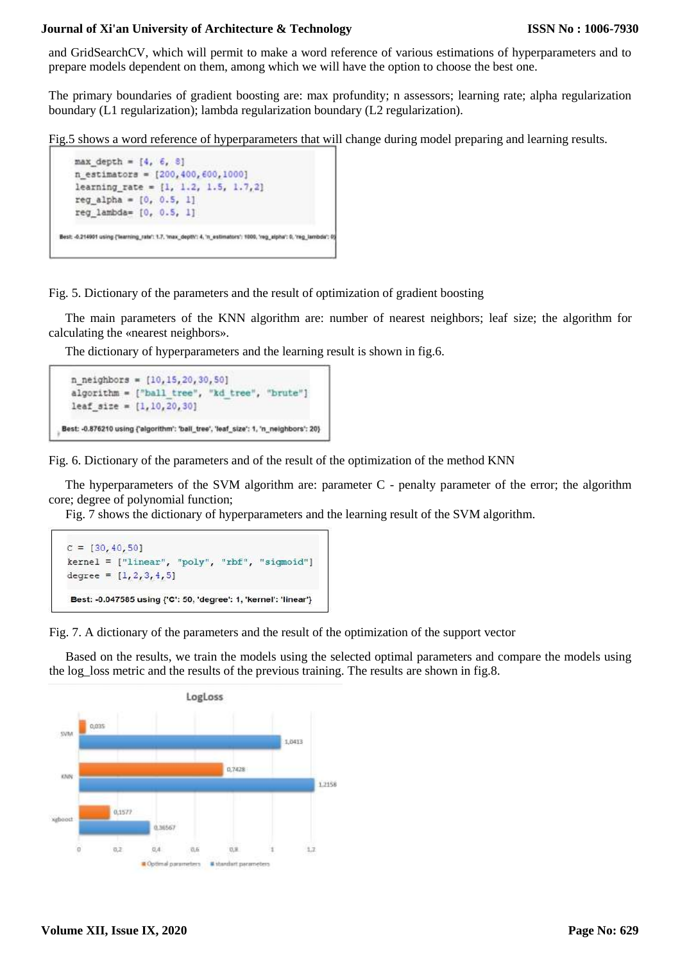and GridSearchCV, which will permit to make a word reference of various estimations of hyperparameters and to prepare models dependent on them, among which we will have the option to choose the best one.

The primary boundaries of gradient boosting are: max profundity; n assessors; learning rate; alpha regularization boundary (L1 regularization); lambda regularization boundary (L2 regularization).

Fig.5 shows a word reference of hyperparameters that will change during model preparing and learning results.

```
max_{1} depth = [4, 6, 8]n estimators = [200, 400, 600, 1000]learning rate = [1, 1.2, 1.5, 1.7, 2]reg\_alpha = [0, 0.5, 1]reg_lambda= [0, 0.5, 1]
Best: -0.214901 using {'learning_rate': 1.7, 'max_depth': 4, 'n_estimators': 1000, 'reg_elpha': 0, 'reg_lambde': 0
```
Fig. 5. Dictionary of the parameters and the result of optimization of gradient boosting

The main parameters of the KNN algorithm are: number of nearest neighbors; leaf size; the algorithm for calculating the «nearest neighbors».

The dictionary of hyperparameters and the learning result is shown in fig.6.

```
n_{neighbours} = [10, 15, 20, 30, 50]algorithm = ["ball tree", "kd tree", "brute"]
  leaf size = [1, 10, 20, 30]Best: -0.876210 using {'algorithm': 'ball_tree', 'leaf_size': 1, 'n_neighbors': 20}
```
Fig. 6. Dictionary of the parameters and of the result of the optimization of the method KNN

The hyperparameters of the SVM algorithm are: parameter C - penalty parameter of the error; the algorithm core; degree of polynomial function;

Fig. 7 shows the dictionary of hyperparameters and the learning result of the SVM algorithm.

```
C = [30, 40, 50]kernel = ["linear", "poly", "rbf", "sigmoid"]
degree = [1, 2, 3, 4, 5]Best: - 0.047585 using {'C': 50, 'degree': 1, 'kernel': 'linear'}
```
Fig. 7. A dictionary of the parameters and the result of the optimization of the support vector

Based on the results, we train the models using the selected optimal parameters and compare the models using the log\_loss metric and the results of the previous training. The results are shown in fig.8.

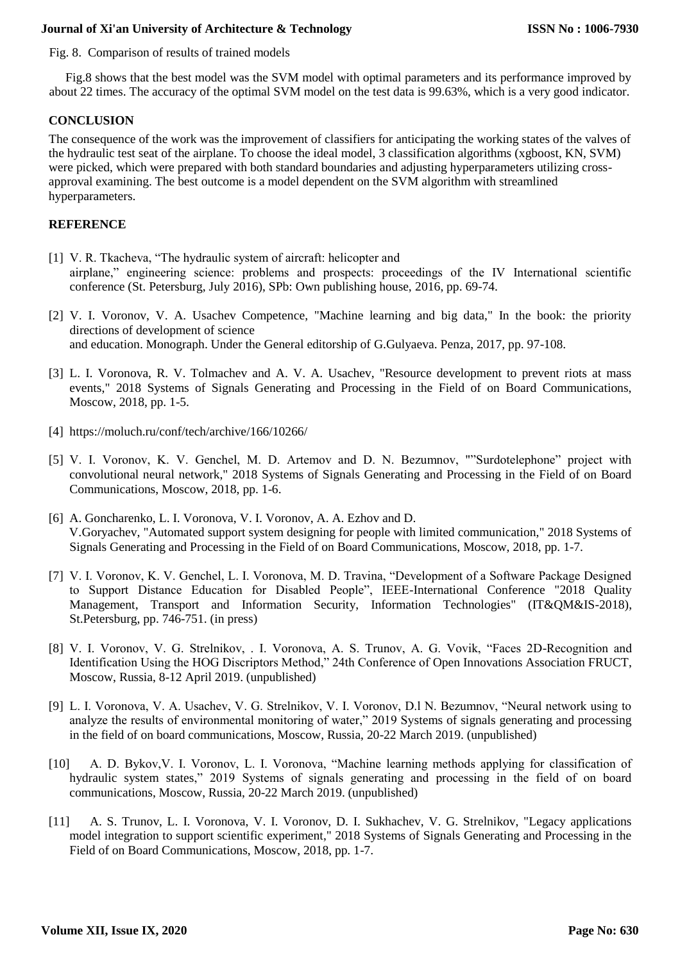Fig. 8. Comparison of results of trained models

Fig.8 shows that the best model was the SVM model with optimal parameters and its performance improved by about 22 times. The accuracy of the optimal SVM model on the test data is 99.63%, which is a very good indicator.

## **CONCLUSION**

The consequence of the work was the improvement of classifiers for anticipating the working states of the valves of the hydraulic test seat of the airplane. To choose the ideal model, 3 classification algorithms (xgboost, KN, SVM) were picked, which were prepared with both standard boundaries and adjusting hyperparameters utilizing crossapproval examining. The best outcome is a model dependent on the SVM algorithm with streamlined hyperparameters.

## **REFERENCE**

- [1] V. R. Tkacheva, "The hydraulic system of aircraft: helicopter and airplane," engineering science: problems and prospects: proceedings of the IV International scientific conference (St. Petersburg, July 2016), SPb: Own publishing house, 2016, pp. 69-74.
- [2] V. I. Voronov, V. A. Usachev Competence, "Machine learning and big data," In the book: the priority directions of development of science and education. Monograph. Under the General editorship of G.Gulyaeva. Penza, 2017, pp. 97-108.
- [3] L. I. Voronova, R. V. Tolmachev and A. V. A. Usachev, "Resource development to prevent riots at mass events," 2018 Systems of Signals Generating and Processing in the Field of on Board Communications, Moscow, 2018, pp. 1-5.
- [4] https://moluch.ru/conf/tech/archive/166/10266/
- [5] V. I. Voronov, K. V. Genchel, M. D. Artemov and D. N. Bezumnov, ""Surdotelephone" project with convolutional neural network," 2018 Systems of Signals Generating and Processing in the Field of on Board Communications, Moscow, 2018, pp. 1-6.
- [6] A. Goncharenko, L. I. Voronova, V. I. Voronov, A. A. Ezhov and D. V.Goryachev, "Automated support system designing for people with limited communication," 2018 Systems of Signals Generating and Processing in the Field of on Board Communications, Moscow, 2018, pp. 1-7.
- [7] V. I. Voronov, K. V. Genchel, L. I. Voronova, M. D. Travina, "Development of a Software Package Designed to Support Distance Education for Disabled People", IEEE-International Conference "2018 Quality Management, Transport and Information Security, Information Technologies" (IT&QM&IS-2018), St.Petersburg, pp. 746-751. (in press)
- [8] V. I. Voronov, V. G. Strelnikov, . I. Voronova, A. S. Trunov, A. G. Vovik, "Faces 2D-Recognition and Identification Using the HOG Discriptors Method," 24th Conference of Open Innovations Association FRUCT, Moscow, Russia, 8-12 April 2019. (unpublished)
- [9] L. I. Voronova, V. A. Usachev, V. G. Strelnikov, V. I. Voronov, D.l N. Bezumnov, "Neural network using to analyze the results of environmental monitoring of water," 2019 Systems of signals generating and processing in the field of on board communications, Moscow, Russia, 20-22 March 2019. (unpublished)
- [10] A. D. Bykov,V. I. Voronov, L. I. Voronova, "Machine learning methods applying for classification of hydraulic system states," 2019 Systems of signals generating and processing in the field of on board communications, Moscow, Russia, 20-22 March 2019. (unpublished)
- [11] A. S. Trunov, L. I. Voronova, V. I. Voronov, D. I. Sukhachev, V. G. Strelnikov, "Legacy applications model integration to support scientific experiment," 2018 Systems of Signals Generating and Processing in the Field of on Board Communications, Moscow, 2018, pp. 1-7.